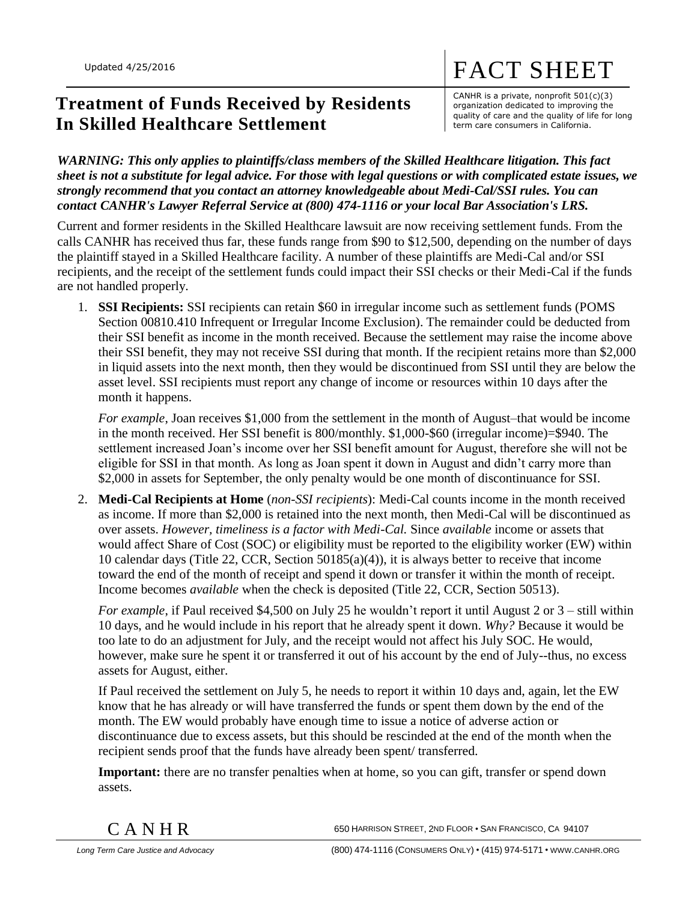## **Treatment of Funds Received by Residents In Skilled Healthcare Settlement**

CANHR is a private, nonprofit 501(c)(3) organization dedicated to improving the quality of care and the quality of life for long term care consumers in California.

FACT SHEET

*WARNING: This only applies to plaintiffs/class members of the Skilled Healthcare litigation. This fact sheet is not a substitute for legal advice. For those with legal questions or with complicated estate issues, we strongly recommend that you contact an attorney knowledgeable about Medi-Cal/SSI rules. You can contact CANHR's Lawyer Referral Service at (800) 474-1116 or your local Bar Association's LRS.*

Current and former residents in the Skilled Healthcare lawsuit are now receiving settlement funds. From the calls CANHR has received thus far, these funds range from \$90 to \$12,500, depending on the number of days the plaintiff stayed in a Skilled Healthcare facility. A number of these plaintiffs are Medi-Cal and/or SSI recipients, and the receipt of the settlement funds could impact their SSI checks or their Medi-Cal if the funds are not handled properly.

1. **SSI Recipients:** SSI recipients can retain \$60 in irregular income such as settlement funds (POMS Section 00810.410 Infrequent or Irregular Income Exclusion). The remainder could be deducted from their SSI benefit as income in the month received. Because the settlement may raise the income above their SSI benefit, they may not receive SSI during that month. If the recipient retains more than \$2,000 in liquid assets into the next month, then they would be discontinued from SSI until they are below the asset level. SSI recipients must report any change of income or resources within 10 days after the month it happens.

*For example*, Joan receives \$1,000 from the settlement in the month of August–that would be income in the month received. Her SSI benefit is 800/monthly. \$1,000-\$60 (irregular income)=\$940. The settlement increased Joan's income over her SSI benefit amount for August, therefore she will not be eligible for SSI in that month. As long as Joan spent it down in August and didn't carry more than \$2,000 in assets for September, the only penalty would be one month of discontinuance for SSI.

2. **Medi-Cal Recipients at Home** (*non-SSI recipients*): Medi-Cal counts income in the month received as income. If more than \$2,000 is retained into the next month, then Medi-Cal will be discontinued as over assets. *However, timeliness is a factor with Medi-Cal.* Since *available* income or assets that would affect Share of Cost (SOC) or eligibility must be reported to the eligibility worker (EW) within 10 calendar days (Title 22, CCR, Section 50185(a)(4)), it is always better to receive that income toward the end of the month of receipt and spend it down or transfer it within the month of receipt. Income becomes *available* when the check is deposited (Title 22, CCR, Section 50513).

*For example*, if Paul received \$4,500 on July 25 he wouldn't report it until August 2 or 3 – still within 10 days, and he would include in his report that he already spent it down. *Why?* Because it would be too late to do an adjustment for July, and the receipt would not affect his July SOC. He would, however, make sure he spent it or transferred it out of his account by the end of July--thus, no excess assets for August, either.

If Paul received the settlement on July 5, he needs to report it within 10 days and, again, let the EW know that he has already or will have transferred the funds or spent them down by the end of the month. The EW would probably have enough time to issue a notice of adverse action or discontinuance due to excess assets, but this should be rescinded at the end of the month when the recipient sends proof that the funds have already been spent/ transferred.

**Important:** there are no transfer penalties when at home, so you can gift, transfer or spend down assets.

 $\rm C~A~N~H~R$  650 Harrison Street, 2nd Floor • San Francisco, Ca 94107